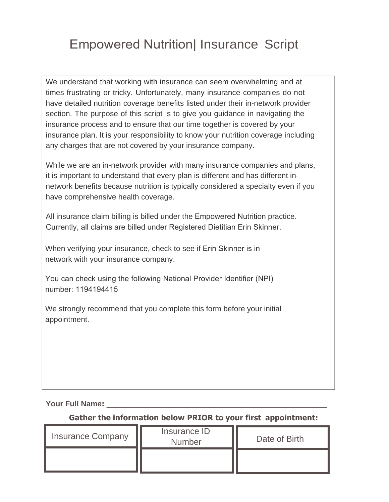## Empowered Nutrition| Insurance Script

We understand that working with insurance can seem overwhelming and at times frustrating or tricky. Unfortunately, many insurance companies do not have detailed nutrition coverage benefits listed under their in-network provider section. The purpose of this script is to give you guidance in navigating the insurance process and to ensure that our time together is covered by your insurance plan. It is your responsibility to know your nutrition coverage including any charges that are not covered by your insurance company.

While we are an in-network provider with many insurance companies and plans, it is important to understand that every plan is different and has different innetwork benefits because nutrition is typically considered a specialty even if you have comprehensive health coverage.

All insurance claim billing is billed under the Empowered Nutrition practice. Currently, all claims are billed under Registered Dietitian Erin Skinner.

When verifying your insurance, check to see if Erin Skinner is innetwork with your insurance company.

You can check using the following National Provider Identifier (NPI) number: 1194194415

We strongly recommend that you complete this form before your initial appointment.

**Your Full Name:** \_\_\_\_\_\_\_\_\_\_\_\_\_\_\_\_\_\_\_\_\_\_\_\_\_\_\_\_\_\_\_\_\_\_\_\_\_\_\_\_\_\_\_\_\_\_\_\_\_\_\_\_

**Gather the information below PRIOR to your first appointment:**

| <b>Insurance Company</b> | Insurance ID<br><b>Number</b> | Date of Birth |
|--------------------------|-------------------------------|---------------|
|                          |                               |               |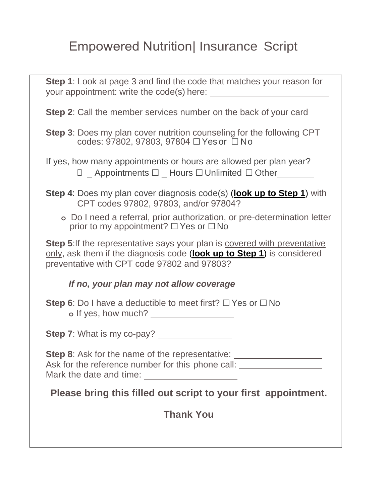## Empowered Nutrition| Insurance Script

**Step 1**: Look at page 3 and find the code that matches your reason for your appointment: write the code(s) here:

**Step 2**: Call the member services number on the back of your card

**Step 3**: Does my plan cover nutrition counseling for the following CPT codes: 97802, 97803, 97804 ☐ Yes or ☐ No

If yes, how many appointments or hours are allowed per plan year? **□** Appointments □ Hours □ Unlimited □ Other

- **Step 4**: Does my plan cover diagnosis code(s) (**look up to Step 1**) with CPT codes 97802, 97803, and/or 97804?
	- **o** Do I need a referral, prior authorization, or pre-determination letter prior to my appointment?  $\Box$  Yes or  $\Box$  No

**Step 5:** If the representative says your plan is covered with preventative only, ask them if the diagnosis code (**look up to Step 1**) is considered preventative with CPT code 97802 and 97803?

## *If no, your plan may not allow coverage*

**Step 6**: Do I have a deductible to meet first? □ Yes or □ No **o** If yes, how much?

**Step 7:** What is my co-pay?

**Step 8**: Ask for the name of the representative: \_\_\_\_\_\_\_\_\_\_\_\_\_\_\_\_\_\_\_\_\_\_\_\_\_\_\_\_\_\_\_\_

Ask for the reference number for this phone call: \_\_\_\_\_\_\_\_\_\_\_\_\_\_\_\_\_\_\_\_\_\_\_\_\_\_\_\_\_\_ Mark the date and time:

**Please bring this filled out script to your first appointment.**

**Thank You**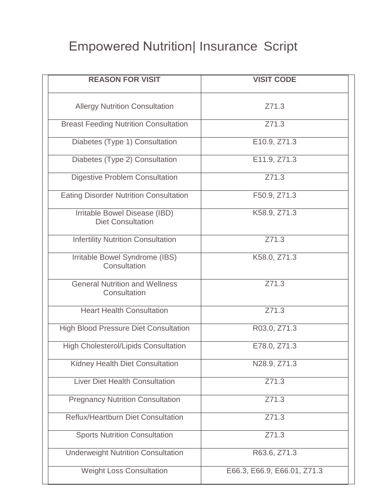## Empowered Nutrition| Insurance Script

| <b>REASON FOR VISIT</b>                                   | <b>VISIT CODE</b>           |
|-----------------------------------------------------------|-----------------------------|
| <b>Allergy Nutrition Consultation</b>                     | Z71.3                       |
| <b>Breast Feeding Nutrition Consultation</b>              | Z71.3                       |
| Diabetes (Type 1) Consultation                            | E10.9, Z71.3                |
| Diabetes (Type 2) Consultation                            | E11.9, Z71.3                |
| <b>Digestive Problem Consultation</b>                     | Z71.3                       |
| <b>Eating Disorder Nutrition Consultation</b>             | F50.9, Z71.3                |
| Irritable Bowel Disease (IBD)<br><b>Diet Consultation</b> | K58.9, Z71.3                |
| <b>Infertility Nutrition Consultation</b>                 | Z71.3                       |
| Irritable Bowel Syndrome (IBS)<br>Consultation            | K58.0, Z71.3                |
| <b>General Nutrition and Wellness</b><br>Consultation     | Z71.3                       |
| <b>Heart Health Consultation</b>                          | Z71.3                       |
| <b>High Blood Pressure Diet Consultation</b>              | R03.0, Z71.3                |
| <b>High Cholesterol/Lipids Consultation</b>               | E78.0, Z71.3                |
| Kidney Health Diet Consultation                           | N28.9, Z71.3                |
| <b>Liver Diet Health Consultation</b>                     | Z71.3                       |
| <b>Pregnancy Nutrition Consultation</b>                   | Z71.3                       |
| <b>Reflux/Heartburn Diet Consultation</b>                 | Z71.3                       |
| <b>Sports Nutrition Consultation</b>                      | Z71.3                       |
| <b>Underweight Nutrition Consultation</b>                 | R63.6, Z71.3                |
| <b>Weight Loss Consultation</b>                           | E66.3, E66.9, E66.01, Z71.3 |